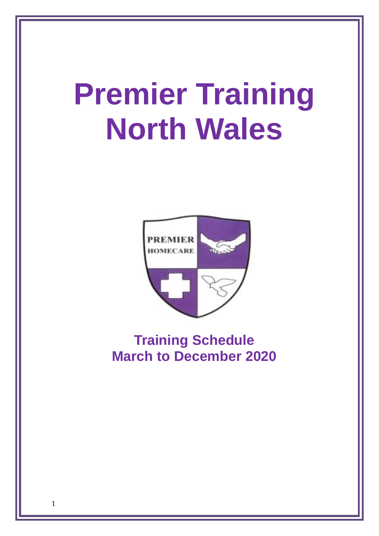# **Premier Training North Wales**



# **Training Schedule March to December 2020**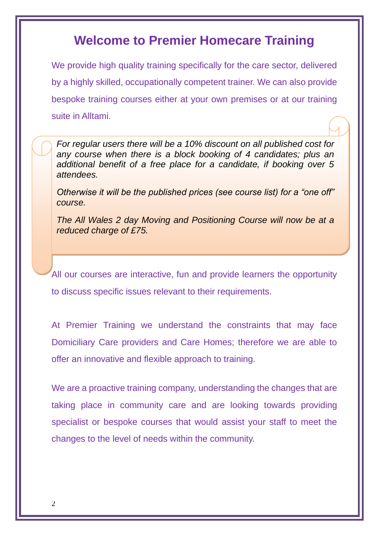### **Welcome to Premier Homecare Training**

We provide high quality training specifically for the care sector, delivered by a highly skilled, occupationally competent trainer. We can also provide bespoke training courses either at your own premises or at our training suite in Alltami.

*For regular users there will be a 10% discount on all published cost for any course when there is a block booking of 4 candidates; plus an additional benefit of a free place for a candidate, if booking over 5 attendees.* 

*Otherwise it will be the published prices (see course list) for a "one off" course.*

*Fo The All Wales 2 day Moving and Positioning Course will now be at a reduced charge of £75.*

All our courses are interactive, fun and provide learners the opportunity to discuss specific issues relevant to their requirements.

At Premier Training we understand the constraints that may face Domiciliary Care providers and Care Homes; therefore we are able to offer an innovative and flexible approach to training.

We are a proactive training company, understanding the changes that are taking place in community care and are looking towards providing specialist or bespoke courses that would assist your staff to meet the changes to the level of needs within the community.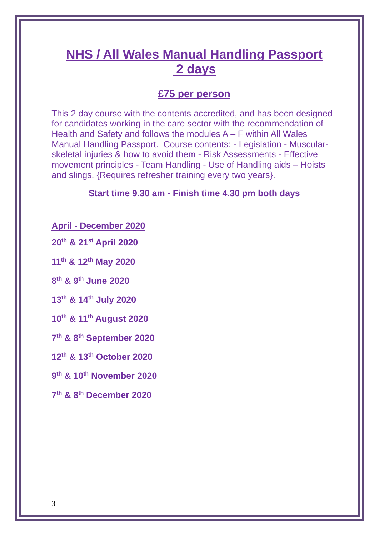# **NHS / All Wales Manual Handling Passport 2 days**

### **£75 per person**

This 2 day course with the contents accredited, and has been designed for candidates working in the care sector with the recommendation of Health and Safety and follows the modules A – F within All Wales Manual Handling Passport. Course contents: - Legislation - Muscularskeletal injuries & how to avoid them - Risk Assessments - Effective movement principles - Team Handling - Use of Handling aids – Hoists and slings. {Requires refresher training every two years}.

#### **Start time 9.30 am - Finish time 4.30 pm both days**

**April - December 2020**

**20th & 21st April 2020**

**11th & 12th May 2020**

**8 th & 9th June 2020**

**13th & 14th July 2020**

**10th & 11th August 2020**

**7 th & 8th September 2020**

**12th & 13th October 2020**

**9 th & 10th November 2020**

**7 th & 8th December 2020**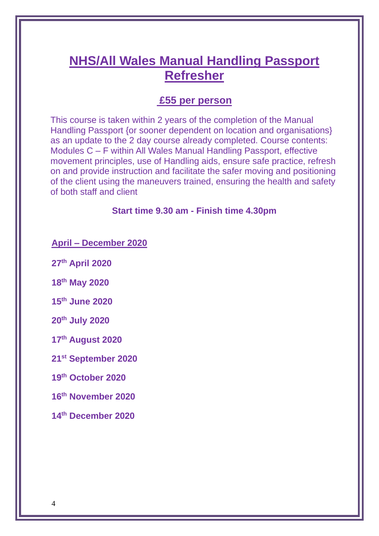## **NHS/All Wales Manual Handling Passport Refresher**

### **£55 per person**

This course is taken within 2 years of the completion of the Manual Handling Passport {or sooner dependent on location and organisations} as an update to the 2 day course already completed. Course contents: Modules C – F within All Wales Manual Handling Passport, effective movement principles, use of Handling aids, ensure safe practice, refresh on and provide instruction and facilitate the safer moving and positioning of the client using the maneuvers trained, ensuring the health and safety of both staff and client

#### **Start time 9.30 am - Finish time 4.30pm**

**April – December 2020**

**27th April 2020**

**18th May 2020**

**15th June 2020**

**20th July 2020**

**17th August 2020**

**21st September 2020**

**19th October 2020**

**16th November 2020**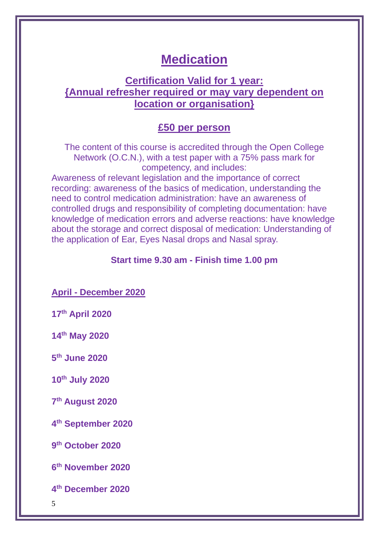### **Medication**

### **Certification Valid for 1 year: {Annual refresher required or may vary dependent on location or organisation}**

#### **£50 per person**

The content of this course is accredited through the Open College Network (O.C.N.), with a test paper with a 75% pass mark for competency, and includes:

Awareness of relevant legislation and the importance of correct recording: awareness of the basics of medication, understanding the need to control medication administration: have an awareness of controlled drugs and responsibility of completing documentation: have knowledge of medication errors and adverse reactions: have knowledge about the storage and correct disposal of medication: Understanding of the application of Ear, Eyes Nasal drops and Nasal spray.

#### **Start time 9.30 am - Finish time 1.00 pm**

**April - December 2020**

**17th April 2020**

**14th May 2020**

**5 th June 2020**

**10th July 2020**

**7 th August 2020**

**4 th September 2020**

**9 th October 2020**

**6 th November 2020**

**4 th December 2020**

5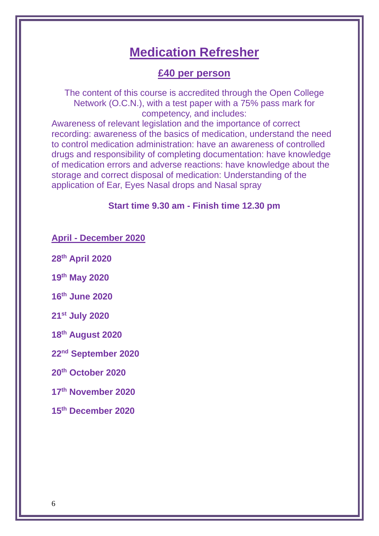### **Medication Refresher**

### **£40 per person**

The content of this course is accredited through the Open College Network (O.C.N.), with a test paper with a 75% pass mark for competency, and includes:

Awareness of relevant legislation and the importance of correct recording: awareness of the basics of medication, understand the need to control medication administration: have an awareness of controlled drugs and responsibility of completing documentation: have knowledge of medication errors and adverse reactions: have knowledge about the storage and correct disposal of medication: Understanding of the application of Ear, Eyes Nasal drops and Nasal spray

#### **Start time 9.30 am - Finish time 12.30 pm**

**April - December 2020**

**28th April 2020**

**19th May 2020**

**16th June 2020**

**21st July 2020**

**18th August 2020**

**22nd September 2020**

**20th October 2020**

**17th November 2020**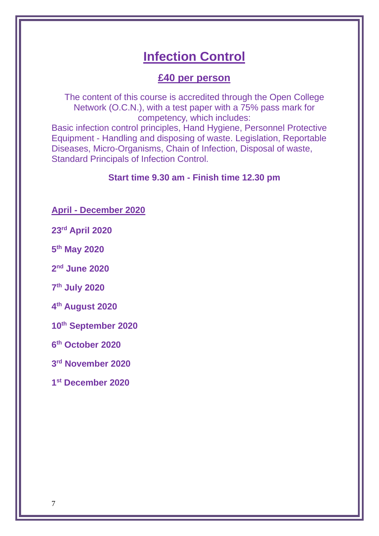# **Infection Control**

### **£40 per person**

The content of this course is accredited through the Open College Network (O.C.N.), with a test paper with a 75% pass mark for competency, which includes:

Basic infection control principles, Hand Hygiene, Personnel Protective Equipment - Handling and disposing of waste. Legislation, Reportable Diseases, Micro-Organisms, Chain of Infection, Disposal of waste, Standard Principals of Infection Control.

#### **Start time 9.30 am - Finish time 12.30 pm**

**April - December 2020**

**23rd April 2020**

**5 th May 2020**

**2 nd June 2020**

**7 th July 2020**

**4 th August 2020**

**10th September 2020**

**6 th October 2020**

**3 rd November 2020**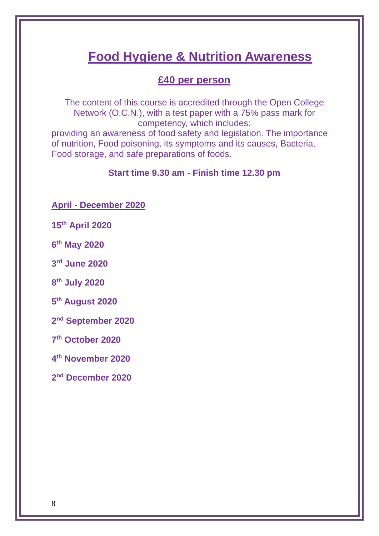# **Food Hygiene & Nutrition Awareness**

### **£40 per person**

The content of this course is accredited through the Open College Network (O.C.N.), with a test paper with a 75% pass mark for competency, which includes:

providing an awareness of food safety and legislation. The importance of nutrition, Food poisoning, its symptoms and its causes, Bacteria, Food storage, and safe preparations of foods.

#### **Start time 9.30 am - Finish time 12.30 pm**

**April - December 2020**

**15th April 2020**

**6 th May 2020**

**3 rd June 2020**

**8 th July 2020**

**5 th August 2020**

**2 nd September 2020**

**7 th October 2020**

**4 th November 2020**

**2 nd December 2020**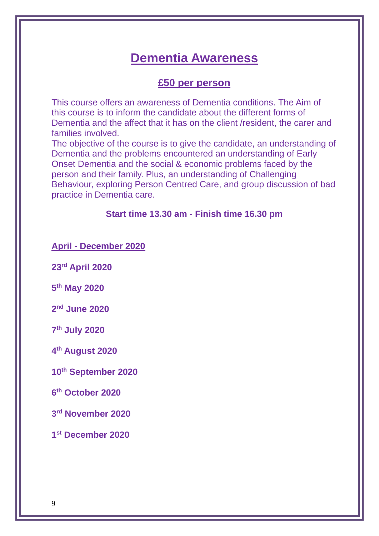### **Dementia Awareness**

#### **£50 per person**

This course offers an awareness of Dementia conditions. The Aim of this course is to inform the candidate about the different forms of Dementia and the affect that it has on the client /resident, the carer and families involved.

The objective of the course is to give the candidate, an understanding of Dementia and the problems encountered an understanding of Early Onset Dementia and the social & economic problems faced by the person and their family. Plus, an understanding of Challenging Behaviour, exploring Person Centred Care, and group discussion of bad practice in Dementia care.

#### **Start time 13.30 am - Finish time 16.30 pm**

**April - December 2020**

**23rd April 2020**

**5 th May 2020**

**2 nd June 2020**

**7 th July 2020**

**4 th August 2020**

**10th September 2020**

**6 th October 2020**

**3 rd November 2020**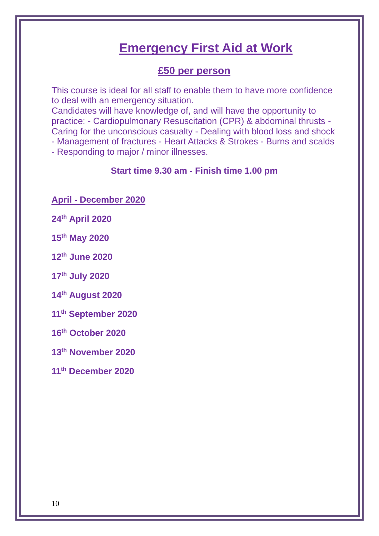## **Emergency First Aid at Work**

### **£50 per person**

This course is ideal for all staff to enable them to have more confidence to deal with an emergency situation.

Candidates will have knowledge of, and will have the opportunity to practice: - Cardiopulmonary Resuscitation (CPR) & abdominal thrusts - Caring for the unconscious casualty - Dealing with blood loss and shock - Management of fractures - Heart Attacks & Strokes - Burns and scalds

- Responding to major / minor illnesses.

#### **Start time 9.30 am - Finish time 1.00 pm**

**April - December 2020**

**24th April 2020**

**15th May 2020**

**12th June 2020**

**17th July 2020**

**14th August 2020**

**11th September 2020**

**16th October 2020**

**13th November 2020**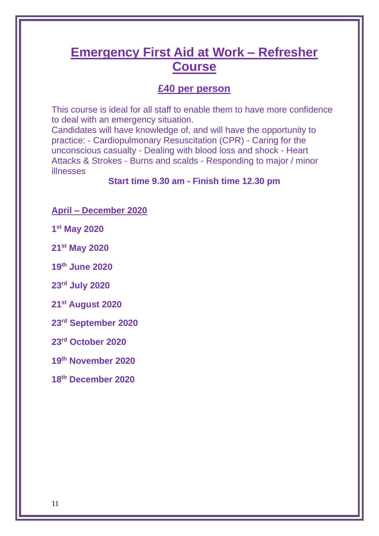## **Emergency First Aid at Work – Refresher Course**

### **£40 per person**

This course is ideal for all staff to enable them to have more confidence to deal with an emergency situation.

Candidates will have knowledge of, and will have the opportunity to practice: - Cardiopulmonary Resuscitation (CPR) - Caring for the unconscious casualty - Dealing with blood loss and shock - Heart Attacks & Strokes - Burns and scalds - Responding to major / minor illnesses

#### **Start time 9.30 am - Finish time 12.30 pm**

#### **April – December 2020**

**1 st May 2020**

**21st May 2020**

**19th June 2020**

**23rd July 2020**

**21st August 2020**

**23rd September 2020**

**23rd October 2020**

**19th November 2020**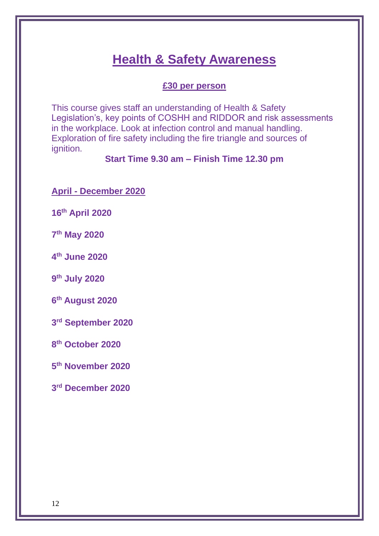## **Health & Safety Awareness**

#### **£30 per person**

This course gives staff an understanding of Health & Safety Legislation's, key points of COSHH and RIDDOR and risk assessments in the workplace. Look at infection control and manual handling. Exploration of fire safety including the fire triangle and sources of ignition.

### **Start Time 9.30 am – Finish Time 12.30 pm**

**April - December 2020**

**16th April 2020**

**7 th May 2020**

**4 th June 2020**

**9 th July 2020**

**6 th August 2020**

**3 rd September 2020**

**8 th October 2020**

**5 th November 2020**

**3 rd December 2020**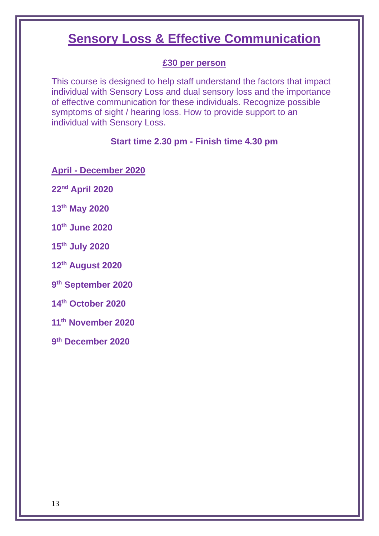## **Sensory Loss & Effective Communication**

#### **£30 per person**

This course is designed to help staff understand the factors that impact individual with Sensory Loss and dual sensory loss and the importance of effective communication for these individuals. Recognize possible symptoms of sight / hearing loss. How to provide support to an individual with Sensory Loss.

#### **Start time 2.30 pm - Finish time 4.30 pm**

**April - December 2020**

**22nd April 2020**

**13th May 2020**

**10th June 2020**

**15th July 2020**

**12th August 2020**

**9 th September 2020**

**14th October 2020**

**11th November 2020**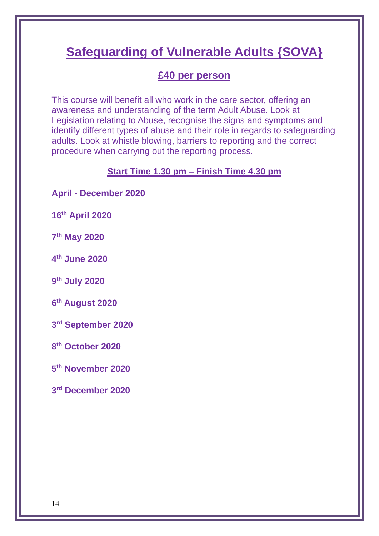# **Safeguarding of Vulnerable Adults {SOVA}**

### **£40 per person**

This course will benefit all who work in the care sector, offering an awareness and understanding of the term Adult Abuse. Look at Legislation relating to Abuse, recognise the signs and symptoms and identify different types of abuse and their role in regards to safeguarding adults. Look at whistle blowing, barriers to reporting and the correct procedure when carrying out the reporting process.

#### **Start Time 1.30 pm – Finish Time 4.30 pm**

**April - December 2020**

**16th April 2020**

**7 th May 2020**

**4 th June 2020**

**9 th July 2020**

**6 th August 2020**

**3 rd September 2020**

**8 th October 2020**

**5 th November 2020**

**3 rd December 2020**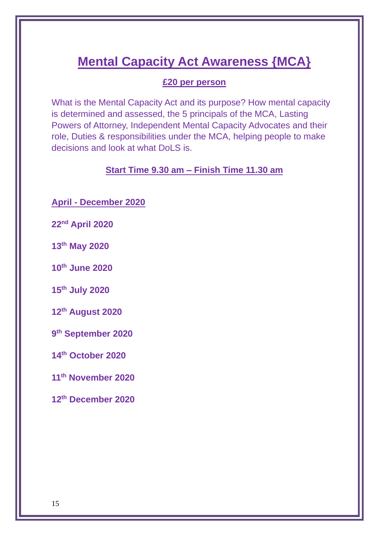# **Mental Capacity Act Awareness {MCA}**

#### **£20 per person**

What is the Mental Capacity Act and its purpose? How mental capacity is determined and assessed, the 5 principals of the MCA, Lasting Powers of Attorney, Independent Mental Capacity Advocates and their role, Duties & responsibilities under the MCA, helping people to make decisions and look at what DoLS is.

**Start Time 9.30 am – Finish Time 11.30 am**

**April - December 2020**

**22nd April 2020**

**13th May 2020**

**10th June 2020**

**15th July 2020**

**12th August 2020**

**9 th September 2020**

**14th October 2020**

**11th November 2020**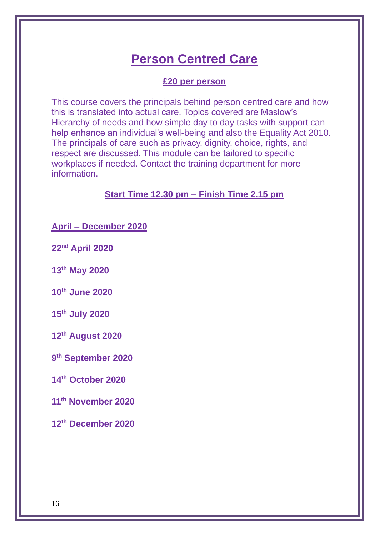# **Person Centred Care**

#### **£20 per person**

This course covers the principals behind person centred care and how this is translated into actual care. Topics covered are Maslow's Hierarchy of needs and how simple day to day tasks with support can help enhance an individual's well-being and also the Equality Act 2010. The principals of care such as privacy, dignity, choice, rights, and respect are discussed. This module can be tailored to specific workplaces if needed. Contact the training department for more information.

#### **Start Time 12.30 pm – Finish Time 2.15 pm**

**April – December 2020**

**22nd April 2020**

**13th May 2020**

**10th June 2020**

**15th July 2020**

**12th August 2020**

**9 th September 2020**

**14th October 2020**

**11th November 2020**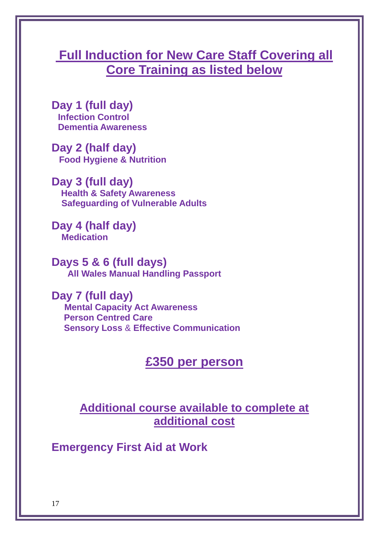# **Full Induction for New Care Staff Covering all Core Training as listed below**

**Day 1 (full day) Infection Control Dementia Awareness**

**Day 2 (half day) Food Hygiene & Nutrition**

**Day 3 (full day) Health & Safety Awareness Safeguarding of Vulnerable Adults**

**Day 4 (half day) Medication**

**Days 5 & 6 (full days) All Wales Manual Handling Passport**

**Day 7 (full day) Mental Capacity Act Awareness Person Centred Care Sensory Loss** & **Effective Communication**

### **£350 per person**

### **Additional course available to complete at additional cost**

**Emergency First Aid at Work**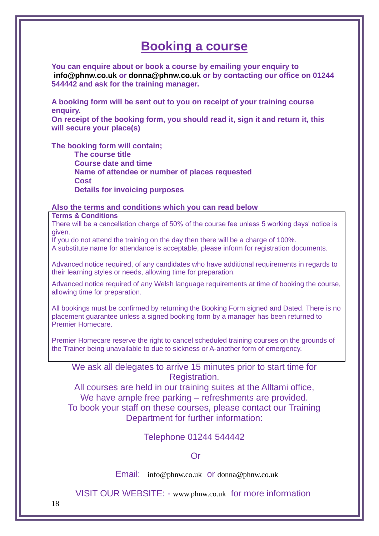### **Booking a course**

**You can enquire about or book a course by emailing your enquiry to [info@phnw.co.uk](mailto:info@phnw.co.uk) or [donna@phnw.co.uk](mailto:donna@phnw.co.uk) or by contacting our office on 01244 544442 and ask for the training manager.**

**A booking form will be sent out to you on receipt of your training course enquiry.**

**On receipt of the booking form, you should read it, sign it and return it, this will secure your place(s)**

**The booking form will contain;**

**The course title Course date and time Name of attendee or number of places requested Cost Details for invoicing purposes**

#### **Also the terms and conditions which you can read below**

**Terms & Conditions**

There will be a cancellation charge of 50% of the course fee unless 5 working days' notice is given.

If you do not attend the training on the day then there will be a charge of 100%.

A substitute name for attendance is acceptable, please inform for registration documents.

Advanced notice required, of any candidates who have additional requirements in regards to their learning styles or needs, allowing time for preparation.

Advanced notice required of any Welsh language requirements at time of booking the course, allowing time for preparation.

All bookings must be confirmed by returning the Booking Form signed and Dated. There is no placement guarantee unless a signed booking form by a manager has been returned to Premier Homecare.

Premier Homecare reserve the right to cancel scheduled training courses on the grounds of the Trainer being unavailable to due to sickness or A-another form of emergency.

We ask all delegates to arrive 15 minutes prior to start time for Registration.

All courses are held in our training suites at the Alltami office, We have ample free parking – refreshments are provided. To book your staff on these courses, please contact our Training Department for further information:

Telephone 01244 544442

#### Or

Email: [info@phnw.co.uk](mailto:info@phnw.co.uk) or [donna@phnw.co.uk](mailto:donna@phnw.co.uk)

VISIT OUR WEBSITE: - [www.phnw.co.uk](http://www.phnw.co.uk/) for more information

18